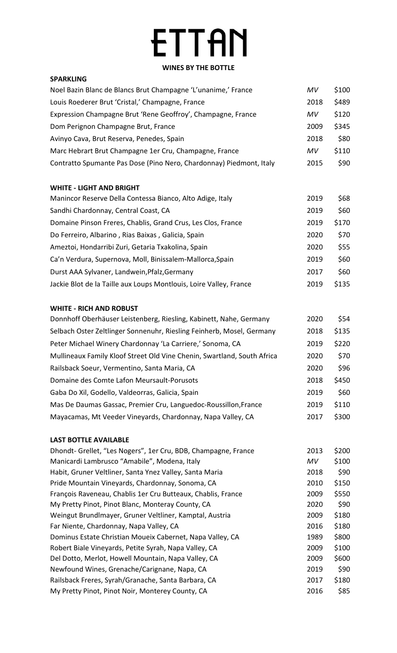# **ETTAN**

# **WINES BY THE BOTTLE**

| <b>SPARKLING</b>                                                    |      |       |
|---------------------------------------------------------------------|------|-------|
| Noel Bazin Blanc de Blancs Brut Champagne 'L'unanime,' France       | MV   | \$100 |
| Louis Roederer Brut 'Cristal,' Champagne, France                    | 2018 | \$489 |
| Expression Champagne Brut 'Rene Geoffroy', Champagne, France        | MV   | \$120 |
| Dom Perignon Champagne Brut, France                                 | 2009 | \$345 |
| Avinyo Cava, Brut Reserva, Penedes, Spain                           | 2018 | \$80  |
| Marc Hebrart Brut Champagne 1er Cru, Champagne, France              | MV   | \$110 |
| Contratto Spumante Pas Dose (Pino Nero, Chardonnay) Piedmont, Italy | 2015 | \$90  |

### **WHITE - LIGHT AND BRIGHT**

| Manincor Reserve Della Contessa Bianco, Alto Adige, Italy          | 2019 | \$68  |
|--------------------------------------------------------------------|------|-------|
| Sandhi Chardonnay, Central Coast, CA                               | 2019 | \$60  |
| Domaine Pinson Freres, Chablis, Grand Crus, Les Clos, France       | 2019 | \$170 |
| Do Ferreiro, Albarino, Rias Baixas, Galicia, Spain                 | 2020 | \$70  |
| Ameztoi, Hondarribi Zuri, Getaria Txakolina, Spain                 | 2020 | \$55  |
| Ca'n Verdura, Supernova, Moll, Binissalem-Mallorca, Spain          | 2019 | \$60  |
| Durst AAA Sylvaner, Landwein, Pfalz, Germany                       | 2017 | \$60  |
| Jackie Blot de la Taille aux Loups Montlouis, Loire Valley, France | 2019 | \$135 |
|                                                                    |      |       |

### **WHITE - RICH AND ROBUST**

| Donnhoff Oberhäuser Leistenberg, Riesling, Kabinett, Nahe, Germany      | 2020 | \$54  |
|-------------------------------------------------------------------------|------|-------|
| Selbach Oster Zeltlinger Sonnenuhr, Riesling Feinherb, Mosel, Germany   | 2018 | \$135 |
| Peter Michael Winery Chardonnay 'La Carriere,' Sonoma, CA               | 2019 | \$220 |
| Mullineaux Family Kloof Street Old Vine Chenin, Swartland, South Africa | 2020 | \$70  |
| Railsback Soeur, Vermentino, Santa Maria, CA                            | 2020 | \$96  |
| Domaine des Comte Lafon Meursault-Porusots                              | 2018 | \$450 |
| Gaba Do Xil, Godello, Valdeorras, Galicia, Spain                        | 2019 | \$60  |
| Mas De Daumas Gassac, Premier Cru, Languedoc-Roussillon, France         | 2019 | \$110 |
| Mayacamas, Mt Veeder Vineyards, Chardonnay, Napa Valley, CA             | 2017 | \$300 |
|                                                                         |      |       |

### **LAST BOTTLE AVAILABLE**

| Dhondt- Grellet, "Les Nogers", 1er Cru, BDB, Champagne, France | 2013 | \$200 |
|----------------------------------------------------------------|------|-------|
| Manicardi Lambrusco "Amabile", Modena, Italy                   | MV   | \$100 |
| Habit, Gruner Veltliner, Santa Ynez Valley, Santa Maria        | 2018 | \$90  |
| Pride Mountain Vineyards, Chardonnay, Sonoma, CA               | 2010 | \$150 |
| François Raveneau, Chablis 1er Cru Butteaux, Chablis, France   | 2009 | \$550 |
| My Pretty Pinot, Pinot Blanc, Monteray County, CA              | 2020 | \$90  |
| Weingut Brundlmayer, Gruner Veltliner, Kamptal, Austria        | 2009 | \$180 |
| Far Niente, Chardonnay, Napa Valley, CA                        | 2016 | \$180 |
| Dominus Estate Christian Moueix Cabernet, Napa Valley, CA      | 1989 | \$800 |
| Robert Biale Vineyards, Petite Syrah, Napa Valley, CA          | 2009 | \$100 |
| Del Dotto, Merlot, Howell Mountain, Napa Valley, CA            | 2009 | \$600 |
| Newfound Wines, Grenache/Carignane, Napa, CA                   | 2019 | \$90  |
| Railsback Freres, Syrah/Granache, Santa Barbara, CA            | 2017 | \$180 |
| My Pretty Pinot, Pinot Noir, Monterey County, CA               | 2016 | \$85  |